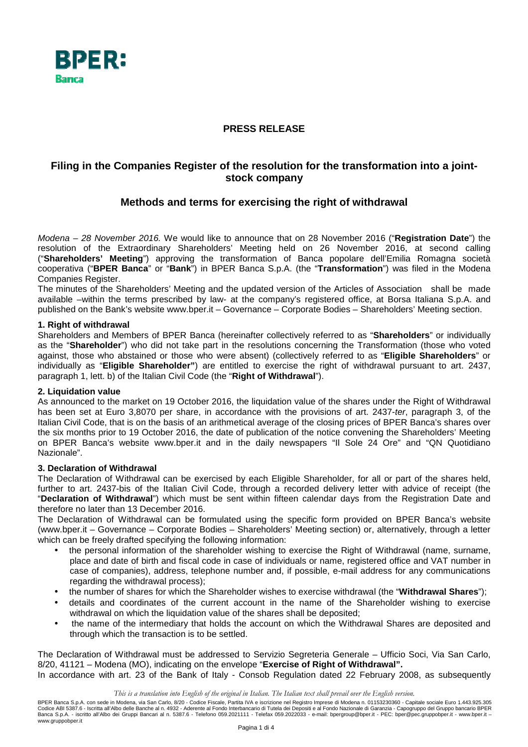

## **PRESS RELEASE**

# **Filing in the Companies Register of the resolution for the transformation into a jointstock company**

## **Methods and terms for exercising the right of withdrawal**

Modena – 28 November 2016. We would like to announce that on 28 November 2016 ("**Registration Date**") the resolution of the Extraordinary Shareholders' Meeting held on 26 November 2016, at second calling ("**Shareholders' Meeting**") approving the transformation of Banca popolare dell'Emilia Romagna società cooperativa ("**BPER Banca**" or "**Bank**") in BPER Banca S.p.A. (the "**Transformation**") was filed in the Modena Companies Register.

The minutes of the Shareholders' Meeting and the updated version of the Articles of Association shall be made available –within the terms prescribed by law- at the company's registered office, at Borsa Italiana S.p.A. and published on the Bank's website www.bper.it – Governance – Corporate Bodies – Shareholders' Meeting section.

#### **1. Right of withdrawal**

Shareholders and Members of BPER Banca (hereinafter collectively referred to as "**Shareholders**" or individually as the "**Shareholder**") who did not take part in the resolutions concerning the Transformation (those who voted against, those who abstained or those who were absent) (collectively referred to as "**Eligible Shareholders**" or individually as "**Eligible Shareholder"**) are entitled to exercise the right of withdrawal pursuant to art. 2437, paragraph 1, lett. b) of the Italian Civil Code (the "**Right of Withdrawal**").

#### **2. Liquidation value**

As announced to the market on 19 October 2016, the liquidation value of the shares under the Right of Withdrawal has been set at Euro 3,8070 per share, in accordance with the provisions of art. 2437-ter, paragraph 3, of the Italian Civil Code, that is on the basis of an arithmetical average of the closing prices of BPER Banca's shares over the six months prior to 19 October 2016, the date of publication of the notice convening the Shareholders' Meeting on BPER Banca's website www.bper.it and in the daily newspapers "Il Sole 24 Ore" and "QN Quotidiano Nazionale".

#### **3. Declaration of Withdrawal**

The Declaration of Withdrawal can be exercised by each Eligible Shareholder, for all or part of the shares held, further to art. 2437-bis of the Italian Civil Code, through a recorded delivery letter with advice of receipt (the "**Declaration of Withdrawal**") which must be sent within fifteen calendar days from the Registration Date and therefore no later than 13 December 2016.

The Declaration of Withdrawal can be formulated using the specific form provided on BPER Banca's website (www.bper.it – Governance – Corporate Bodies – Shareholders' Meeting section) or, alternatively, through a letter which can be freely drafted specifying the following information:

- the personal information of the shareholder wishing to exercise the Right of Withdrawal (name, surname, place and date of birth and fiscal code in case of individuals or name, registered office and VAT number in case of companies), address, telephone number and, if possible, e-mail address for any communications regarding the withdrawal process);
- the number of shares for which the Shareholder wishes to exercise withdrawal (the "**Withdrawal Shares**");
- details and coordinates of the current account in the name of the Shareholder wishing to exercise withdrawal on which the liquidation value of the shares shall be deposited;
- the name of the intermediary that holds the account on which the Withdrawal Shares are deposited and through which the transaction is to be settled.

The Declaration of Withdrawal must be addressed to Servizio Segreteria Generale – Ufficio Soci, Via San Carlo, 8/20, 41121 – Modena (MO), indicating on the envelope "**Exercise of Right of Withdrawal".** 

In accordance with art. 23 of the Bank of Italy - Consob Regulation dated 22 February 2008, as subsequently

*This is a translation into English of the original in Italian. The Italian text shall prevail over the English version.*

BPER Banca S.p.A. con sede in Modena, via San Carlo, 8/20 - Codice Fiscale, Partita IVA e iscrizione nel Registro Imprese di Modena n. 01153230360 - Capitale sociale Euro 1.443.925.305 Codice ABI 5387.6 - Iscritta all'Albo delle Banche al n. 4932 - Aderente al Fondo Interbancario di Tutela dei Depositi e al Fondo Nazionale di Garanzia - Capogruppo del Gruppo bancario BPER<br>Banca S.p.A. - iscritto all'Albo www.gruppobper.it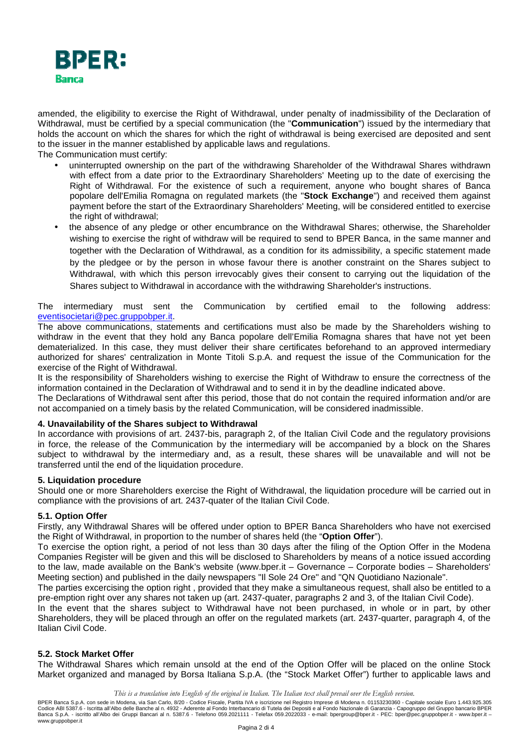

amended, the eligibility to exercise the Right of Withdrawal, under penalty of inadmissibility of the Declaration of Withdrawal, must be certified by a special communication (the "**Communication**") issued by the intermediary that holds the account on which the shares for which the right of withdrawal is being exercised are deposited and sent to the issuer in the manner established by applicable laws and regulations.

The Communication must certify:

- uninterrupted ownership on the part of the withdrawing Shareholder of the Withdrawal Shares withdrawn with effect from a date prior to the Extraordinary Shareholders' Meeting up to the date of exercising the Right of Withdrawal. For the existence of such a requirement, anyone who bought shares of Banca popolare dell'Emilia Romagna on regulated markets (the "**Stock Exchange**") and received them against payment before the start of the Extraordinary Shareholders' Meeting, will be considered entitled to exercise the right of withdrawal;
- the absence of any pledge or other encumbrance on the Withdrawal Shares; otherwise, the Shareholder wishing to exercise the right of withdraw will be required to send to BPER Banca, in the same manner and together with the Declaration of Withdrawal, as a condition for its admissibility, a specific statement made by the pledgee or by the person in whose favour there is another constraint on the Shares subject to Withdrawal, with which this person irrevocably gives their consent to carrying out the liquidation of the Shares subject to Withdrawal in accordance with the withdrawing Shareholder's instructions.

#### The intermediary must sent the Communication by certified email to the following address: eventisocietari@pec.gruppobper.it.

The above communications, statements and certifications must also be made by the Shareholders wishing to withdraw in the event that they hold any Banca popolare dell'Emilia Romagna shares that have not yet been dematerialized. In this case, they must deliver their share certificates beforehand to an approved intermediary authorized for shares' centralization in Monte Titoli S.p.A. and request the issue of the Communication for the exercise of the Right of Withdrawal.

It is the responsibility of Shareholders wishing to exercise the Right of Withdraw to ensure the correctness of the information contained in the Declaration of Withdrawal and to send it in by the deadline indicated above.

The Declarations of Withdrawal sent after this period, those that do not contain the required information and/or are not accompanied on a timely basis by the related Communication, will be considered inadmissible.

### **4. Unavailability of the Shares subject to Withdrawal**

In accordance with provisions of art. 2437-bis, paragraph 2, of the Italian Civil Code and the regulatory provisions in force, the release of the Communication by the intermediary will be accompanied by a block on the Shares subject to withdrawal by the intermediary and, as a result, these shares will be unavailable and will not be transferred until the end of the liquidation procedure.

#### **5. Liquidation procedure**

Should one or more Shareholders exercise the Right of Withdrawal, the liquidation procedure will be carried out in compliance with the provisions of art. 2437-quater of the Italian Civil Code.

#### **5.1. Option Offer**

Firstly, any Withdrawal Shares will be offered under option to BPER Banca Shareholders who have not exercised the Right of Withdrawal, in proportion to the number of shares held (the "**Option Offer**").

To exercise the option right, a period of not less than 30 days after the filing of the Option Offer in the Modena Companies Register will be given and this will be disclosed to Shareholders by means of a notice issued according to the law, made available on the Bank's website (www.bper.it – Governance – Corporate bodies – Shareholders' Meeting section) and published in the daily newspapers "Il Sole 24 Ore" and "QN Quotidiano Nazionale".

The parties excercising the option right , provided that they make a simultaneous request, shall also be entitled to a pre-emption right over any shares not taken up (art. 2437-quater, paragraphs 2 and 3, of the Italian Civil Code).

In the event that the shares subject to Withdrawal have not been purchased, in whole or in part, by other Shareholders, they will be placed through an offer on the regulated markets (art. 2437-quarter, paragraph 4, of the Italian Civil Code.

### **5.2. Stock Market Offer**

The Withdrawal Shares which remain unsold at the end of the Option Offer will be placed on the online Stock Market organized and managed by Borsa Italiana S.p.A. (the "Stock Market Offer") further to applicable laws and

BPER Banca S.p.A. con sede in Modena, via San Carlo, 8/20 - Codice Fiscale, Partita IVA e iscrizione nel Registro Imprese di Modena n. 01153230360 - Capitale sociale Euro 1.443.925.305 Codice ABI 5387.6 - Iscritta all'Albo delle Banche al n. 4932 - Aderente al Fondo Interbancario di Tutela dei Depositi e al Fondo Nazionale di Garanzia - Capogruppo del Gruppo bancario BPER<br>Banca S.p.A. - iscritto all'Albo www.gruppobper.it

*This is a translation into English of the original in Italian. The Italian text shall prevail over the English version.*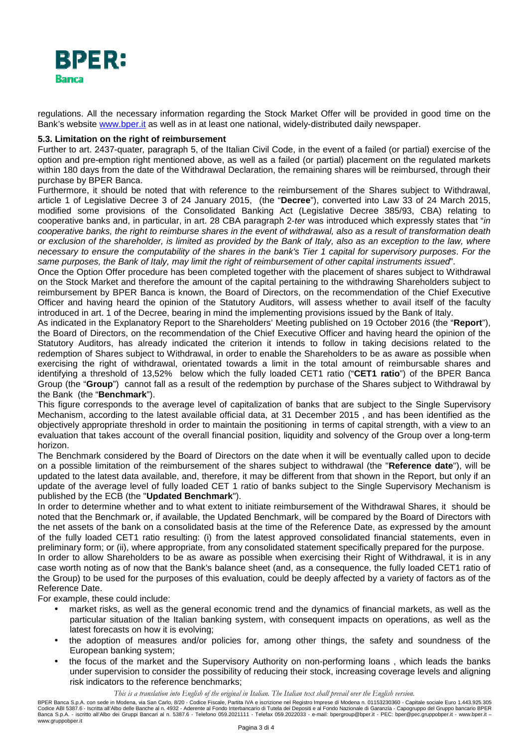

regulations. All the necessary information regarding the Stock Market Offer will be provided in good time on the Bank's website www.bper.it as well as in at least one national, widely-distributed daily newspaper.

#### **5.3. Limitation on the right of reimbursement**

Further to art. 2437-quater, paragraph 5, of the Italian Civil Code, in the event of a failed (or partial) exercise of the option and pre-emption right mentioned above, as well as a failed (or partial) placement on the regulated markets within 180 days from the date of the Withdrawal Declaration, the remaining shares will be reimbursed, through their purchase by BPER Banca.

Furthermore, it should be noted that with reference to the reimbursement of the Shares subject to Withdrawal, article 1 of Legislative Decree 3 of 24 January 2015, (the "**Decree**"), converted into Law 33 of 24 March 2015, modified some provisions of the Consolidated Banking Act (Legislative Decree 385/93, CBA) relating to cooperative banks and, in particular, in art. 28 CBA paragraph 2-ter was introduced which expressly states that "in cooperative banks, the right to reimburse shares in the event of withdrawal, also as a result of transformation death or exclusion of the shareholder, is limited as provided by the Bank of Italy, also as an exception to the law, where necessary to ensure the computability of the shares in the bank's Tier 1 capital for supervisory purposes. For the same purposes, the Bank of Italy, may limit the right of reimbursement of other capital instruments issued".

Once the Option Offer procedure has been completed together with the placement of shares subject to Withdrawal on the Stock Market and therefore the amount of the capital pertaining to the withdrawing Shareholders subject to reimbursement by BPER Banca is known, the Board of Directors, on the recommendation of the Chief Executive Officer and having heard the opinion of the Statutory Auditors, will assess whether to avail itself of the faculty introduced in art. 1 of the Decree, bearing in mind the implementing provisions issued by the Bank of Italy.

As indicated in the Explanatory Report to the Shareholders' Meeting published on 19 October 2016 (the "**Report**"), the Board of Directors, on the recommendation of the Chief Executive Officer and having heard the opinion of the Statutory Auditors, has already indicated the criterion it intends to follow in taking decisions related to the redemption of Shares subject to Withdrawal, in order to enable the Shareholders to be as aware as possible when exercising the right of withdrawal, orientated towards a limit in the total amount of reimbursable shares and identifying a threshold of 13,52% below which the fully loaded CET1 ratio ("**CET1 ratio**") of the BPER Banca Group (the "**Group**") cannot fall as a result of the redemption by purchase of the Shares subject to Withdrawal by the Bank (the "**Benchmark**").

This figure corresponds to the average level of capitalization of banks that are subject to the Single Supervisory Mechanism, according to the latest available official data, at 31 December 2015 , and has been identified as the objectively appropriate threshold in order to maintain the positioning in terms of capital strength, with a view to an evaluation that takes account of the overall financial position, liquidity and solvency of the Group over a long-term horizon.

The Benchmark considered by the Board of Directors on the date when it will be eventually called upon to decide on a possible limitation of the reimbursement of the shares subject to withdrawal (the "**Reference date**"), will be updated to the latest data available, and, therefore, it may be different from that shown in the Report, but only if an update of the average level of fully loaded CET 1 ratio of banks subject to the Single Supervisory Mechanism is published by the ECB (the "**Updated Benchmark**").

In order to determine whether and to what extent to initiate reimbursement of the Withdrawal Shares, it should be noted that the Benchmark or, if available, the Updated Benchmark, will be compared by the Board of Directors with the net assets of the bank on a consolidated basis at the time of the Reference Date, as expressed by the amount of the fully loaded CET1 ratio resulting: (i) from the latest approved consolidated financial statements, even in preliminary form; or (ii), where appropriate, from any consolidated statement specifically prepared for the purpose.

In order to allow Shareholders to be as aware as possible when exercising their Right of Withdrawal, it is in any case worth noting as of now that the Bank's balance sheet (and, as a consequence, the fully loaded CET1 ratio of the Group) to be used for the purposes of this evaluation, could be deeply affected by a variety of factors as of the Reference Date.

For example, these could include:

- market risks, as well as the general economic trend and the dynamics of financial markets, as well as the particular situation of the Italian banking system, with consequent impacts on operations, as well as the latest forecasts on how it is evolving;
- the adoption of measures and/or policies for, among other things, the safety and soundness of the European banking system;
- the focus of the market and the Supervisory Authority on non-performing loans , which leads the banks under supervision to consider the possibility of reducing their stock, increasing coverage levels and aligning risk indicators to the reference benchmarks;

*This is a translation into English of the original in Italian. The Italian text shall prevail over the English version.*

BPER Banca S.p.A. con sede in Modena, via San Carlo, 8/20 - Codice Fiscale, Partita IVA e iscrizione nel Registro Imprese di Modena n. 01153230360 - Capitale sociale Euro 1.443.925.305 Codice ABI 5387.6 - Iscritta all'Albo delle Banche al n. 4932 - Aderente al Fondo Interbancario di Tutela dei Depositi e al Fondo Nazionale di Garanzia - Capogruppo del Gruppo bancario BPER<br>Banca S.p.A. - iscritto all'Albo www.gruppobper.it